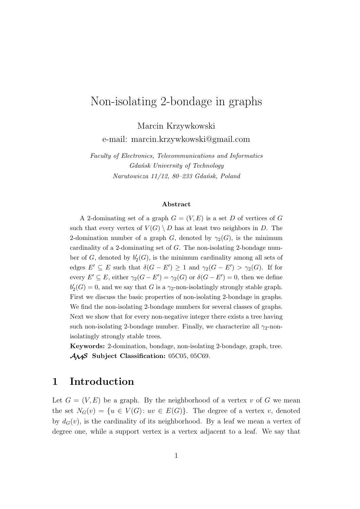# Non-isolating 2-bondage in graphs

Marcin Krzywkowski e-mail: marcin.krzywkowski@gmail.com

*Faculty of Electronics, Telecommunications and Informatics Gdańsk University of Technology Narutowicza 11/12, 80–233 Gdańsk, Poland*

#### **Abstract**

A 2-dominating set of a graph  $G = (V, E)$  is a set *D* of vertices of *G* such that every vertex of  $V(G) \setminus D$  has at least two neighbors in *D*. The 2-domination number of a graph *G*, denoted by  $\gamma_2(G)$ , is the minimum cardinality of a 2-dominating set of *G*. The non-isolating 2-bondage number of  $G$ , denoted by  $b'_{2}(G)$ , is the minimum cardinality among all sets of edges  $E' \subseteq E$  such that  $\delta(G - E') \geq 1$  and  $\gamma_2(G - E') > \gamma_2(G)$ . If for every  $E' \subseteq E$ , either  $\gamma_2(G - E') = \gamma_2(G)$  or  $\delta(G - E') = 0$ , then we define  $b'_{2}(G) = 0$ , and we say that *G* is a *γ*<sub>2</sub>-non-isolatingly strongly stable graph. First we discuss the basic properties of non-isolating 2-bondage in graphs. We find the non-isolating 2-bondage numbers for several classes of graphs. Next we show that for every non-negative integer there exists a tree having such non-isolating 2-bondage number. Finally, we characterize all  $\gamma_2$ -nonisolatingly strongly stable trees.

**Keywords:** 2-domination, bondage, non-isolating 2-bondage, graph, tree. *AMS* **Subject Classification:** 05C05, 05C69.

## **1 Introduction**

Let  $G = (V, E)$  be a graph. By the neighborhood of a vertex *v* of *G* we mean the set  $N_G(v) = \{u \in V(G): uv \in E(G)\}.$  The degree of a vertex *v*, denoted by  $d_G(v)$ , is the cardinality of its neighborhood. By a leaf we mean a vertex of degree one, while a support vertex is a vertex adjacent to a leaf. We say that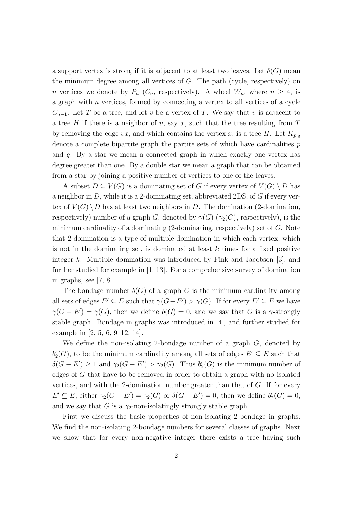a support vertex is strong if it is adjacent to at least two leaves. Let  $\delta(G)$  mean the minimum degree among all vertices of *G*. The path (cycle, respectively) on *n* vertices we denote by  $P_n$  ( $C_n$ , respectively). A wheel  $W_n$ , where  $n \geq 4$ , is a graph with *n* vertices, formed by connecting a vertex to all vertices of a cycle  $C_{n-1}$ . Let *T* be a tree, and let *v* be a vertex of *T*. We say that *v* is adjacent to a tree *H* if there is a neighbor of *v*, say *x*, such that the tree resulting from *T* by removing the edge  $vx$ , and which contains the vertex  $x$ , is a tree  $H$ . Let  $K_{p,q}$ denote a complete bipartite graph the partite sets of which have cardinalities *p* and *q*. By a star we mean a connected graph in which exactly one vertex has degree greater than one. By a double star we mean a graph that can be obtained from a star by joining a positive number of vertices to one of the leaves.

A subset  $D \subseteq V(G)$  is a dominating set of G if every vertex of  $V(G) \setminus D$  has a neighbor in *D*, while it is a 2-dominating set, abbreviated 2DS, of *G* if every vertex of  $V(G) \setminus D$  has at least two neighbors in *D*. The domination (2-domination, respectively) number of a graph *G*, denoted by  $\gamma(G)$  ( $\gamma_2(G)$ , respectively), is the minimum cardinality of a dominating (2-dominating, respectively) set of *G*. Note that 2-domination is a type of multiple domination in which each vertex, which is not in the dominating set, is dominated at least *k* times for a fixed positive integer *k*. Multiple domination was introduced by Fink and Jacobson [3], and further studied for example in [1, 13]. For a comprehensive survey of domination in graphs, see [7, 8].

The bondage number  $b(G)$  of a graph *G* is the minimum cardinality among all sets of edges  $E' \subseteq E$  such that  $\gamma(G - E') > \gamma(G)$ . If for every  $E' \subseteq E$  we have  $\gamma(G - E') = \gamma(G)$ , then we define  $b(G) = 0$ , and we say that *G* is a *γ*-strongly stable graph. Bondage in graphs was introduced in [4], and further studied for example in [2, 5, 6, 9–12, 14].

We define the non-isolating 2-bondage number of a graph *G*, denoted by  $b'_{2}(G)$ , to be the minimum cardinality among all sets of edges  $E' \subseteq E$  such that  $\delta(G - E') \geq 1$  and  $\gamma_2(G - E') > \gamma_2(G)$ . Thus  $b'_2(G)$  is the minimum number of edges of *G* that have to be removed in order to obtain a graph with no isolated vertices, and with the 2-domination number greater than that of *G*. If for every  $E' \subseteq E$ , either  $\gamma_2(G - E') = \gamma_2(G)$  or  $\delta(G - E') = 0$ , then we define  $b'_2(G) = 0$ , and we say that *G* is a  $\gamma_2$ -non-isolatingly strongly stable graph.

First we discuss the basic properties of non-isolating 2-bondage in graphs. We find the non-isolating 2-bondage numbers for several classes of graphs. Next we show that for every non-negative integer there exists a tree having such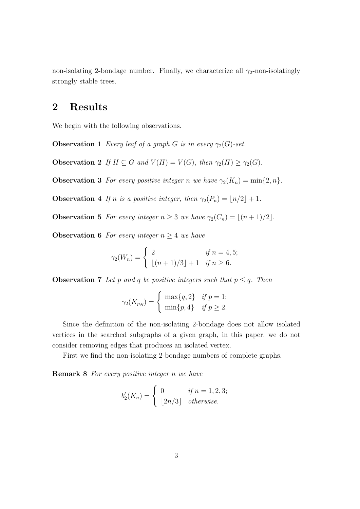non-isolating 2-bondage number. Finally, we characterize all  $\gamma_2$ -non-isolatingly strongly stable trees.

## **2 Results**

We begin with the following observations.

**Observation 1** *Every leaf of a graph G is in every*  $\gamma_2(G)$ *-set.* 

**Observation 2** *If*  $H \subseteq G$  *and*  $V(H) = V(G)$ *, then*  $\gamma_2(H) \geq \gamma_2(G)$ *.* 

**Observation 3** *For every positive integer n we have*  $\gamma_2(K_n) = \min\{2, n\}$ *.* 

**Observation 4** *If n is a positive integer, then*  $\gamma_2(P_n) = \lfloor n/2 \rfloor + 1$ *.* 

**Observation 5** *For every integer*  $n \geq 3$  *we have*  $\gamma_2(C_n) = \lfloor (n+1)/2 \rfloor$ *.* 

**Observation 6** *For every integer*  $n \geq 4$  *we have* 

$$
\gamma_2(W_n) = \begin{cases} 2 & \text{if } n = 4, 5; \\ \lfloor (n+1)/3 \rfloor + 1 & \text{if } n \ge 6. \end{cases}
$$

**Observation 7** *Let p and q be positive integers such that*  $p \leq q$ *. Then* 

$$
\gamma_2(K_{p,q}) = \begin{cases} \max\{q, 2\} & \text{if } p = 1; \\ \min\{p, 4\} & \text{if } p \ge 2. \end{cases}
$$

Since the definition of the non-isolating 2-bondage does not allow isolated vertices in the searched subgraphs of a given graph, in this paper, we do not consider removing edges that produces an isolated vertex.

First we find the non-isolating 2-bondage numbers of complete graphs.

**Remark 8** *For every positive integer n we have*

$$
b'_2(K_n) = \begin{cases} 0 & \text{if } n = 1, 2, 3; \\ \lfloor 2n/3 \rfloor & otherwise. \end{cases}
$$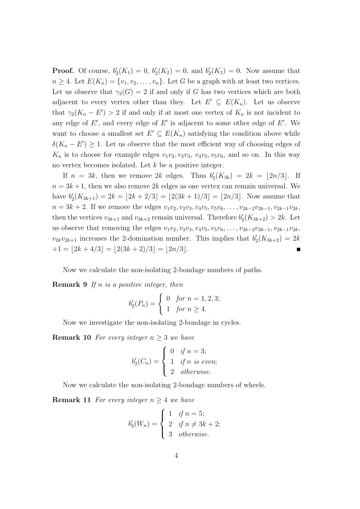**Proof.** Of course,  $b'_{2}(K_{1}) = 0$ ,  $b'_{2}(K_{2}) = 0$ , and  $b'_{2}(K_{3}) = 0$ . Now assume that  $n \geq 4$ . Let  $E(K_n) = \{v_1, v_2, \ldots, v_n\}$ . Let *G* be a graph with at least two vertices. Let us observe that  $\gamma_2(G) = 2$  if and only if *G* has two vertices which are both adjacent to every vertex other than they. Let  $E' \subseteq E(K_n)$ . Let us observe that  $\gamma_2(K_n - E') > 2$  if and only if at most one vertex of  $K_n$  is not incident to any edge of  $E'$ , and every edge of  $E'$  is adjacent to some other edge of  $E'$ . We want to choose a smallest set  $E' \subseteq E(K_n)$  satisfying the condition above while  $\delta(K_n - E') \geq 1$ . Let us observe that the most efficient way of choosing edges of  $K_n$  is to choose for example edges  $v_1v_2, v_2v_3, v_4v_5, v_5v_6$ , and so on. In this way no vertex becomes isolated. Let *k* be a positive integer.

If  $n = 3k$ , then we remove 2k edges. Thus  $b'_{2}(K_{3k}) = 2k = \lfloor 2n/3 \rfloor$ . If  $n = 3k+1$ , then we also remove 2k edges as one vertex can remain universal. We have  $b'_2(K_{3k+1}) = 2k = \lfloor 2k + 2/3 \rfloor = \lfloor 2(3k+1)/3 \rfloor = \lfloor 2n/3 \rfloor$ . Now assume that  $n = 3k + 2$ . If we remove the edges  $v_1v_2, v_2v_3, v_4v_5, v_5v_6, \ldots, v_{2k-2}v_{2k-1}, v_{2k-1}v_{2k}$ then the vertices  $v_{3k+1}$  and  $v_{3k+2}$  remain universal. Therefore  $b'_2(K_{3k+2}) > 2k$ . Let us observe that removing the edges  $v_1v_2, v_2v_3, v_4v_5, v_5v_6, \ldots, v_{2k-2}v_{2k-1}, v_{2k-1}v_{2k}$  $v_{2k}v_{2k+1}$  increases the 2-domination number. This implies that  $b'_{2}(K_{3k+2}) = 2k$  $+1 = |2k + 4/3| = |2(3k + 2)/3| = |2n/3|$ .

Now we calculate the non-isolating 2-bondage numbers of paths.

**Remark 9** *If n is a positive integer, then*

$$
b_2'(P_n) = \begin{cases} 0 & \text{for } n = 1, 2, 3; \\ 1 & \text{for } n \ge 4. \end{cases}
$$

Now we investigate the non-isolating 2-bondage in cycles.

**Remark 10** *For every integer*  $n \geq 3$  *we have* 

$$
b'_2(C_n) = \begin{cases} 0 & \text{if } n = 3; \\ 1 & \text{if } n \text{ is even}; \\ 2 & \text{otherwise}. \end{cases}
$$

Now we calculate the non-isolating 2-bondage numbers of wheels.

**Remark 11** *For every integer*  $n \geq 4$  *we have* 

$$
b'_2(W_n) = \begin{cases} 1 & \text{if } n = 5; \\ 2 & \text{if } n \neq 3k + 2; \\ 3 & \text{otherwise.} \end{cases}
$$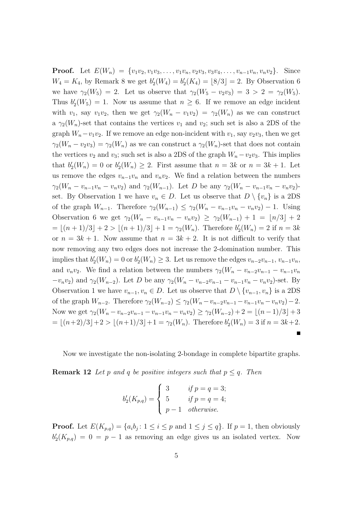**Proof.** Let  $E(W_n) = \{v_1v_2, v_1v_3, \ldots, v_1v_n, v_2v_3, v_3v_4, \ldots, v_{n-1}v_n, v_nv_2\}$ . Since  $W_4 = K_4$ , by Remark 8 we get  $b'_2(W_4) = b'_2(K_4) = [8/3] = 2$ . By Observation 6 we have  $\gamma_2(W_5) = 2$ . Let us observe that  $\gamma_2(W_5 - v_2v_3) = 3 > 2 = \gamma_2(W_5)$ . Thus  $b'_2(W_5) = 1$ . Now us assume that  $n \geq 6$ . If we remove an edge incident with  $v_1$ , say  $v_1v_2$ , then we get  $\gamma_2(W_n - v_1v_2) = \gamma_2(W_n)$  as we can construct a  $\gamma_2(W_n)$ -set that contains the vertices  $v_1$  and  $v_2$ ; such set is also a 2DS of the graph  $W_n - v_1 v_2$ . If we remove an edge non-incident with  $v_1$ , say  $v_2 v_3$ , then we get  $\gamma_2(W_n - v_2 v_3) = \gamma_2(W_n)$  as we can construct a  $\gamma_2(W_n)$ -set that does not contain the vertices  $v_2$  and  $v_3$ ; such set is also a 2DS of the graph  $W_n - v_2v_3$ . This implies that  $b'_2(W_n) = 0$  or  $b'_2(W_n) \geq 2$ . First assume that  $n = 3k$  or  $n = 3k + 1$ . Let us remove the edges  $v_{n-1}v_n$  and  $v_nv_2$ . We find a relation between the numbers  $\gamma_2(W_n - v_{n-1}v_n - v_nv_2)$  and  $\gamma_2(W_{n-1})$ . Let D be any  $\gamma_2(W_n - v_{n-1}v_n - v_nv_2)$ set. By Observation 1 we have  $v_n \in D$ . Let us observe that  $D \setminus \{v_n\}$  is a 2DS of the graph  $W_{n-1}$ . Therefore  $\gamma_2(W_{n-1}) \leq \gamma_2(W_n - v_{n-1}v_n - v_nv_2) - 1$ . Using Observation 6 we get  $\gamma_2(W_n - v_{n-1}v_n - v_nv_2) \geq \gamma_2(W_{n-1}) + 1 = \lfloor n/3 \rfloor + 2$  $= \lfloor (n+1)/3 \rfloor + 2 > \lfloor (n+1)/3 \rfloor + 1 = \gamma_2(W_n)$ . Therefore  $b'_2(W_n) = 2$  if  $n = 3k$ or  $n = 3k + 1$ . Now assume that  $n = 3k + 2$ . It is not difficult to verify that now removing any two edges does not increase the 2-domination number. This implies that  $b'_2(W_n) = 0$  or  $b'_2(W_n) \ge 3$ . Let us remove the edges  $v_{n-2}v_{n-1}, v_{n-1}v_n$ , and  $v_n v_2$ . We find a relation between the numbers  $\gamma_2(W_n - v_{n-2}v_{n-1} - v_{n-1}v_n)$  $-v_n v_2$ ) and  $\gamma_2(W_{n-2})$ . Let D be any  $\gamma_2(W_n - v_{n-2}v_{n-1} - v_{n-1}v_n - v_nv_2)$ -set. By Observation 1 we have  $v_{n-1}, v_n \in D$ . Let us observe that  $D \setminus \{v_{n-1}, v_n\}$  is a 2DS of the graph  $W_{n-2}$ . Therefore  $\gamma_2(W_{n-2}) \leq \gamma_2(W_n - v_{n-2}v_{n-1} - v_{n-1}v_n - v_nv_2) - 2$ . Now we get  $\gamma_2(W_n - v_{n-2}v_{n-1} - v_{n-1}v_n - v_nv_2) \geq \gamma_2(W_{n-2}) + 2 = \lfloor (n-1)/3 \rfloor + 3$  $= \lfloor (n+2)/3 \rfloor + 2 > \lfloor (n+1)/3 \rfloor + 1 = \gamma_2(W_n)$ . Therefore  $b'_2(W_n) = 3$  if  $n = 3k+2$ .

Now we investigate the non-isolating 2-bondage in complete bipartite graphs.

**Remark 12** *Let p and q be positive integers such that*  $p \leq q$ *. Then* 

$$
b'_2(K_{p,q}) = \begin{cases} 3 & \text{if } p = q = 3; \\ 5 & \text{if } p = q = 4; \\ p-1 & \text{otherwise.} \end{cases}
$$

**Proof.** Let  $E(K_{p,q}) = \{a_i b_j : 1 \le i \le p \text{ and } 1 \le j \le q\}$ . If  $p = 1$ , then obviously  $b'_{2}(K_{p,q}) = 0 = p-1$  as removing an edge gives us an isolated vertex. Now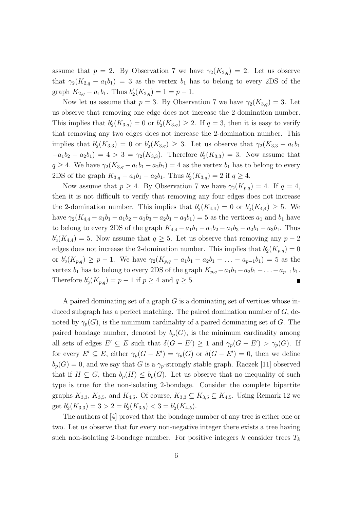assume that  $p = 2$ . By Observation 7 we have  $\gamma_2(K_{2,q}) = 2$ . Let us observe that  $\gamma_2(K_{2,q}-a_1b_1)=3$  as the vertex  $b_1$  has to belong to every 2DS of the graph  $K_{2,q} - a_1b_1$ . Thus  $b'_2(K_{2,q}) = 1 = p - 1$ .

Now let us assume that  $p = 3$ . By Observation 7 we have  $\gamma_2(K_{3,q}) = 3$ . Let us observe that removing one edge does not increase the 2-domination number. This implies that  $b'_2(K_{3,q}) = 0$  or  $b'_2(K_{3,q}) \geq 2$ . If  $q = 3$ , then it is easy to verify that removing any two edges does not increase the 2-domination number. This implies that  $b'_2(K_{3,3}) = 0$  or  $b'_2(K_{3,q}) \geq 3$ . Let us observe that  $\gamma_2(K_{3,3} - a_1 b_1)$  $-a_1b_2 - a_2b_1$  = 4 > 3 = *γ*<sub>2</sub>(*K*<sub>3*,*3</sub>). Therefore *b*<sup>'</sup><sub>2</sub>(*K*<sub>3*,*3</sub>) = 3. Now assume that  $q \geq 4$ . We have  $\gamma_2(K_{3,q} - a_1b_1 - a_2b_1) = 4$  as the vertex  $b_1$  has to belong to every 2DS of the graph  $K_{3,q} - a_1b_1 - a_2b_1$ . Thus  $b'_2(K_{3,q}) = 2$  if  $q \ge 4$ .

Now assume that  $p \geq 4$ . By Observation 7 we have  $\gamma_2(K_{p,q}) = 4$ . If  $q = 4$ , then it is not difficult to verify that removing any four edges does not increase the 2-domination number. This implies that  $b'_2(K_{4,4}) = 0$  or  $b'_2(K_{4,4}) \geq 5$ . We have  $\gamma_2(K_{4,4} - a_1b_1 - a_1b_2 - a_1b_3 - a_2b_1 - a_3b_1) = 5$  as the vertices  $a_1$  and  $b_1$  have to belong to every 2DS of the graph  $K_{4,4} - a_1b_1 - a_1b_2 - a_1b_3 - a_2b_1 - a_3b_1$ . Thus  $b'_{2}(K_{4,4}) = 5$ . Now assume that  $q \geq 5$ . Let us observe that removing any  $p-2$ edges does not increase the 2-domination number. This implies that  $b'_{2}(K_{p,q}) = 0$ or  $b'_2(K_{p,q}) \ge p-1$ . We have  $\gamma_2(K_{p,q} - a_1b_1 - a_2b_1 - \ldots - a_{p-1}b_1) = 5$  as the vertex *b*<sub>1</sub> has to belong to every 2DS of the graph  $K_{p,q} - a_1b_1 - a_2b_1 - \ldots - a_{p-1}b_1$ . Therefore  $b'_2(K_{p,q}) = p - 1$  if  $p \ge 4$  and  $q \ge 5$ .  $\blacksquare$ 

A paired dominating set of a graph *G* is a dominating set of vertices whose induced subgraph has a perfect matching. The paired domination number of *G*, denoted by  $\gamma_p(G)$ , is the minimum cardinality of a paired dominating set of *G*. The paired bondage number, denoted by  $b_p(G)$ , is the minimum cardinality among all sets of edges  $E' \subseteq E$  such that  $\delta(G - E') \geq 1$  and  $\gamma_p(G - E') > \gamma_p(G)$ . If for every  $E' \subseteq E$ , either  $\gamma_p(G - E') = \gamma_p(G)$  or  $\delta(G - E') = 0$ , then we define  $b_p(G) = 0$ , and we say that *G* is a  $\gamma_p$ -strongly stable graph. Raczek [11] observed that if  $H \subseteq G$ , then  $b_p(H) \leq b_p(G)$ . Let us observe that no inequality of such type is true for the non-isolating 2-bondage. Consider the complete bipartite graphs  $K_{3,3}$ ,  $K_{3,5}$ , and  $K_{4,5}$ . Of course,  $K_{3,3} \subseteq K_{3,5} \subseteq K_{4,5}$ . Using Remark 12 we get  $b'_2(K_{3,3}) = 3 > 2 = b'_2(K_{3,5}) < 3 = b'_2(K_{4,5}).$ 

The authors of [4] proved that the bondage number of any tree is either one or two. Let us observe that for every non-negative integer there exists a tree having such non-isolating 2-bondage number. For positive integers  $k$  consider trees  $T_k$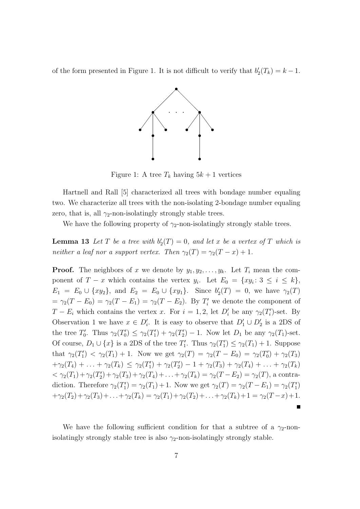of the form presented in Figure 1. It is not difficult to verify that  $b'_2(T_k) = k - 1$ .



Figure 1: A tree  $T_k$  having  $5k+1$  vertices

Hartnell and Rall [5] characterized all trees with bondage number equaling two. We characterize all trees with the non-isolating 2-bondage number equaling zero, that is, all  $\gamma_2$ -non-isolatingly strongly stable trees.

We have the following property of  $\gamma_2$ -non-isolatingly strongly stable trees.

**Lemma 13** Let  $T$  be a tree with  $b'_2(T) = 0$ , and let  $x$  be a vertex of  $T$  which is *neither a leaf nor a support vertex. Then*  $\gamma_2(T) = \gamma_2(T - x) + 1$ .

**Proof.** The neighbors of *x* we denote by  $y_1, y_2, \ldots, y_k$ . Let  $T_i$  mean the component of  $T - x$  which contains the vertex  $y_i$ . Let  $E_0 = \{xy_i : 3 \leq i \leq k\}$ ,  $E_1 = E_0 \cup \{xy_2\}$ , and  $E_2 = E_0 \cup \{xy_1\}$ . Since  $b'_2(T) = 0$ , we have  $\gamma_2(T)$  $= \gamma_2(T - E_0) = \gamma_2(T - E_1) = \gamma_2(T - E_2)$ . By  $T'_i$  we denote the component of *T* − *E*<sub>*i*</sub> which contains the vertex *x*. For  $i = 1, 2$ , let  $D'_i$  be any  $\gamma_2(T'_i)$ -set. By Observation 1 we have  $x \in D'_i$ . It is easy to observe that  $D'_1 \cup D'_2$  is a 2DS of the tree  $T'_{0}$ . Thus  $\gamma_{2}(T'_{0}) \leq \gamma_{2}(T'_{1}) + \gamma_{2}(T'_{2}) - 1$ . Now let  $D_{1}$  be any  $\gamma_{2}(T_{1})$ -set. Of course,  $D_1 \cup \{x\}$  is a 2DS of the tree  $T'_1$ . Thus  $\gamma_2(T'_1) \leq \gamma_2(T_1) + 1$ . Suppose that  $\gamma_2(T_1') < \gamma_2(T_1) + 1$ . Now we get  $\gamma_2(T) = \gamma_2(T - E_0) = \gamma_2(T_0') + \gamma_2(T_3)$  $+\gamma_2(T_4) + \ldots + \gamma_2(T_k) \leq \gamma_2(T_1') + \gamma_2(T_2') - 1 + \gamma_2(T_3) + \gamma_2(T_4) + \ldots + \gamma_2(T_k)$  $< \gamma_2(T_1) + \gamma_2(T_2') + \gamma_2(T_3) + \gamma_2(T_4) + \ldots + \gamma_2(T_k) = \gamma_2(T - E_2) = \gamma_2(T)$ , a contradiction. Therefore  $\gamma_2(T_1') = \gamma_2(T_1) + 1$ . Now we get  $\gamma_2(T) = \gamma_2(T - E_1) = \gamma_2(T_1')$  $+\gamma_2(T_2)+\gamma_2(T_3)+\ldots+\gamma_2(T_k) = \gamma_2(T_1)+\gamma_2(T_2)+\ldots+\gamma_2(T_k)+1 = \gamma_2(T-x)+1.$  $\blacksquare$ 

We have the following sufficient condition for that a subtree of a  $\gamma_2$ -nonisolatingly strongly stable tree is also  $\gamma_2$ -non-isolatingly strongly stable.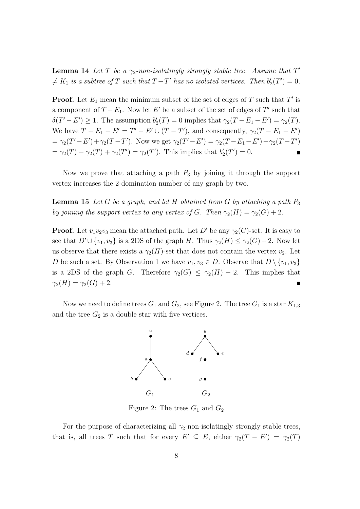**Lemma 14** *Let*  $T$  *be a*  $\gamma_2$ -non-isolatingly strongly stable tree. Assume that  $T'$  $\neq K_1$  *is a subtree of*  $T$  *such that*  $T - T'$  *has no isolated vertices. Then*  $b'_2(T') = 0$ *.* 

**Proof.** Let *E*<sup>1</sup> mean the minimum subset of the set of edges of *T* such that *T ′* is a component of  $T - E_1$ . Now let  $E'$  be a subset of the set of edges of  $T'$  such that  $\delta(T'-E') \geq 1$ . The assumption  $b'_{2}(T) = 0$  implies that  $\gamma_{2}(T - E_{1} - E') = \gamma_{2}(T)$ . We have  $T - E_1 - E' = T' - E' \cup (T - T')$ , and consequently,  $\gamma_2(T - E_1 - E')$  $=\gamma_2(T'-E')+\gamma_2(T-T')$ . Now we get  $\gamma_2(T'-E')=\gamma_2(T-E_1-E')-\gamma_2(T-T')$  $= \gamma_2(T) - \gamma_2(T) + \gamma_2(T') = \gamma_2(T')$ . This implies that  $b'_2(T') = 0$ .

Now we prove that attaching a path *P*<sup>3</sup> by joining it through the support vertex increases the 2-domination number of any graph by two.

**Lemma 15** *Let G be a graph, and let H obtained from G by attaching a path P*<sup>3</sup> *by joining the support vertex to any vertex of <i>G*. Then  $\gamma_2(H) = \gamma_2(G) + 2$ .

**Proof.** Let  $v_1v_2v_3$  mean the attached path. Let *D'* be any  $\gamma_2(G)$ -set. It is easy to see that  $D' \cup \{v_1, v_3\}$  is a 2DS of the graph *H*. Thus  $\gamma_2(H) \leq \gamma_2(G) + 2$ . Now let us observe that there exists a  $\gamma_2(H)$ -set that does not contain the vertex  $v_2$ . Let *D* be such a set. By Observation 1 we have  $v_1, v_3 \in D$ . Observe that  $D \setminus \{v_1, v_3\}$ is a 2DS of the graph *G*. Therefore  $\gamma_2(G) \leq \gamma_2(H) - 2$ . This implies that  $\gamma_2(H) = \gamma_2(G) + 2.$ 

Now we need to define trees  $G_1$  and  $G_2$ , see Figure 2. The tree  $G_1$  is a star  $K_{1,3}$ and the tree  $G_2$  is a double star with five vertices.



Figure 2: The trees  $G_1$  and  $G_2$ 

For the purpose of characterizing all  $\gamma_2$ -non-isolatingly strongly stable trees, that is, all trees *T* such that for every  $E' \subseteq E$ , either  $\gamma_2(T - E') = \gamma_2(T)$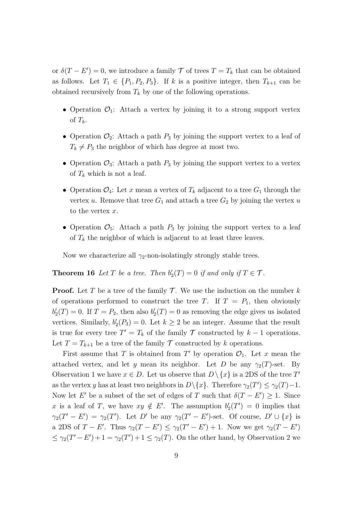or  $\delta(T - E') = 0$ , we introduce a family  $\mathcal T$  of trees  $T = T_k$  that can be obtained as follows. Let  $T_1 \in \{P_1, P_2, P_3\}$ . If *k* is a positive integer, then  $T_{k+1}$  can be obtained recursively from  $T_k$  by one of the following operations.

- Operation  $\mathcal{O}_1$ : Attach a vertex by joining it to a strong support vertex of  $T_k$ .
- Operation  $\mathcal{O}_2$ : Attach a path  $P_3$  by joining the support vertex to a leaf of  $T_k \neq P_3$  the neighbor of which has degree at most two.
- Operation  $\mathcal{O}_3$ : Attach a path  $P_3$  by joining the support vertex to a vertex of  $T_k$  which is not a leaf.
- Operation  $\mathcal{O}_4$ : Let *x* mean a vertex of  $T_k$  adjacent to a tree  $G_1$  through the vertex *u*. Remove that tree  $G_1$  and attach a tree  $G_2$  by joining the vertex *u* to the vertex *x*.
- Operation  $\mathcal{O}_5$ : Attach a path  $P_3$  by joining the support vertex to a leaf of  $T_k$  the neighbor of which is adjacent to at least three leaves.

Now we characterize all  $\gamma_2$ -non-isolatingly strongly stable trees.

**Theorem 16** *Let T be a tree. Then*  $b'_2(T) = 0$  *if and only if*  $T \in \mathcal{T}$ *.* 

**Proof.** Let *T* be a tree of the family  $\mathcal{T}$ . We use the induction on the number  $k$ of operations performed to construct the tree *T*. If  $T = P_1$ , then obviously  $b'_{2}(T) = 0$ . If  $T = P_{2}$ , then also  $b'_{2}(T) = 0$  as removing the edge gives us isolated vertices. Similarly,  $b'_2(P_3) = 0$ . Let  $k \geq 2$  be an integer. Assume that the result is true for every tree  $T' = T_k$  of the family  $\mathcal T$  constructed by  $k-1$  operations. Let  $T = T_{k+1}$  be a tree of the family  $T$  constructed by *k* operations.

First assume that *T* is obtained from  $T'$  by operation  $\mathcal{O}_1$ . Let *x* mean the attached vertex, and let *y* mean its neighbor. Let *D* be any  $\gamma_2(T)$ -set. By Observation 1 we have  $x \in D$ . Let us observe that  $D \setminus \{x\}$  is a 2DS of the tree  $T'$ as the vertex *y* has at least two neighbors in  $D \setminus \{x\}$ . Therefore  $\gamma_2(T') \leq \gamma_2(T) - 1$ . Now let *E'* be a subset of the set of edges of *T* such that  $\delta(T - E') \geq 1$ . Since x is a leaf of *T*, we have  $xy \notin E'$ . The assumption  $b'_{2}(T') = 0$  implies that  $\gamma_2(T'-E') = \gamma_2(T')$ . Let D' be any  $\gamma_2(T'-E')$ -set. Of course, D'  $\cup \{x\}$  is a 2DS of  $T - E'$ . Thus  $\gamma_2(T - E') \leq \gamma_2(T' - E') + 1$ . Now we get  $\gamma_2(T - E')$  $\leq \gamma_2(T'-E')+1=\gamma_2(T')+1\leq \gamma_2(T)$ . On the other hand, by Observation 2 we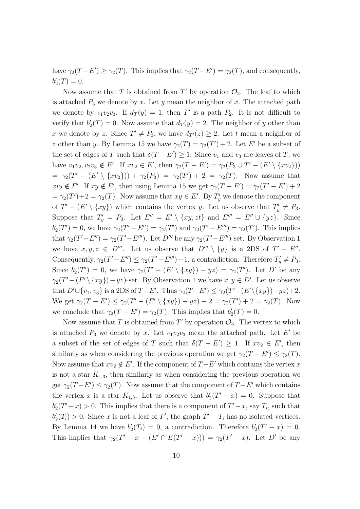have  $\gamma_2(T - E') \geq \gamma_2(T)$ . This implies that  $\gamma_2(T - E') = \gamma_2(T)$ , and consequently,  $b'_{2}(T) = 0.$ 

Now assume that *T* is obtained from  $T'$  by operation  $\mathcal{O}_2$ . The leaf to which is attached  $P_3$  we denote by  $x$ . Let  $y$  mean the neighbor of  $x$ . The attached path we denote by  $v_1v_2v_3$ . If  $d_T(y) = 1$ , then T' is a path  $P_2$ . It is not difficult to verify that  $b'_{2}(T) = 0$ . Now assume that  $d_{T}(y) = 2$ . The neighbor of *y* other than *x* we denote by *z*. Since  $T' \neq P_3$ , we have  $d_{T'}(z) \geq 2$ . Let *t* mean a neighbor of *z* other than *y*. By Lemma 15 we have  $\gamma_2(T) = \gamma_2(T') + 2$ . Let *E'* be a subset of the set of edges of *T* such that  $\delta(T - E') \geq 1$ . Since  $v_1$  and  $v_3$  are leaves of *T*, we have  $v_1v_2, v_2v_3 \notin E'$ . If  $xv_2 \in E'$ , then  $\gamma_2(T - E') = \gamma_2(P_3 \cup T' - (E' \setminus \{xv_2\}))$  $= \gamma_2(T' - (E' \setminus \{xv_2\})) + \gamma_2(P_3) = \gamma_2(T') + 2 = \gamma_2(T)$ . Now assume that  $xv_2 \notin E'$ . If  $xy \notin E'$ , then using Lemma 15 we get  $\gamma_2(T - E') = \gamma_2(T' - E') + 2$  $\gamma = \gamma_2(T') + 2 = \gamma_2(T)$ . Now assume that  $xy \in E'$ . By  $T'_y$  we denote the component of  $T' - (E' \setminus \{xy\})$  which contains the vertex *y*. Let us observe that  $T'_y \neq P_3$ . Suppose that  $T'_y = P_3$ . Let  $E'' = E' \setminus \{xy, zt\}$  and  $E''' = E'' \cup \{yz\}$ . Since  $b'_2(T') = 0$ , we have  $\gamma_2(T' - E'') = \gamma_2(T')$  and  $\gamma_2(T' - E''') = \gamma_2(T')$ . This implies that  $\gamma_2(T'-E'') = \gamma_2(T'-E'')$ . Let  $D'''$  be any  $\gamma_2(T'-E''')$ -set. By Observation 1 we have  $x, y, z \in D'''$ . Let us observe that  $D''' \setminus \{y\}$  is a 2DS of  $T' - E''$ . Consequently,  $\gamma_2(T'-E'') \leq \gamma_2(T'-E'')-1$ , a contradiction. Therefore  $T'_y \neq P_3$ . Since  $b'_2(T') = 0$ , we have  $\gamma_2(T' - (E' \setminus \{xy\}) - yz) = \gamma_2(T')$ . Let D' be any  $\gamma_2(T' - (E' \setminus \{xy\}) - yz)$ -set. By Observation 1 we have  $x, y \in D'$ . Let us observe that  $D' \cup \{v_1, v_3\}$  is a 2DS of  $T - E'$ . Thus  $\gamma_2(T - E') \leq \gamma_2(T' - (E' \setminus \{xy\}) - yz) + 2$ . We get  $\gamma_2(T - E') \leq \gamma_2(T' - (E' \setminus \{xy\}) - yz) + 2 = \gamma_2(T') + 2 = \gamma_2(T)$ . Now we conclude that  $\gamma_2(T - E') = \gamma_2(T)$ . This implies that  $b'_2(T) = 0$ .

Now assume that *T* is obtained from  $T'$  by operation  $\mathcal{O}_3$ . The vertex to which is attached  $P_3$  we denote by *x*. Let  $v_1v_2v_3$  mean the attached path. Let  $E'$  be a subset of the set of edges of *T* such that  $\delta(T - E') \geq 1$ . If  $xv_2 \in E'$ , then similarly as when considering the previous operation we get  $\gamma_2(T - E') \leq \gamma_2(T)$ . Now assume that  $xv_2 \notin E'$ . If the component of  $T - E'$  which contains the vertex  $x$ is not a star  $K_{1,3}$ , then similarly as when considering the previous operation we get  $\gamma_2(T - E') \leq \gamma_2(T)$ . Now assume that the component of  $T - E'$  which contains the vertex *x* is a star  $K_{1,3}$ . Let us observe that  $b'_2(T'-x) = 0$ . Suppose that  $b'_{2}(T'-x) > 0$ . This implies that there is a component of  $T'-x$ , say  $T_i$ , such that  $b'_{2}(T_{i}) > 0$ . Since *x* is not a leaf of *T*', the graph  $T' - T_{i}$  has no isolated vertices. By Lemma 14 we have  $b'_2(T_i) = 0$ , a contradiction. Therefore  $b'_2(T' - x) = 0$ . This implies that  $\gamma_2(T'-x-(E'\cap E(T'-x)))=\gamma_2(T'-x)$ . Let D' be any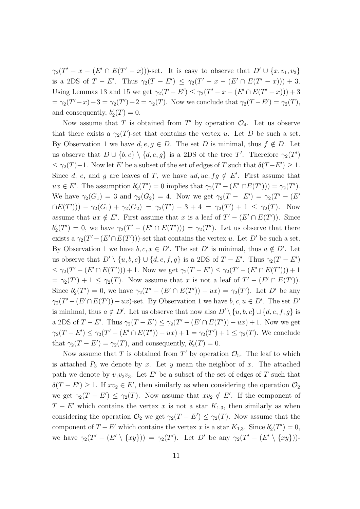$\gamma_2(T' - x - (E' \cap E(T' - x)))$ -set. It is easy to observe that  $D' \cup \{x, v_1, v_3\}$ is a 2DS of  $T - E'$ . Thus  $\gamma_2(T - E') \leq \gamma_2(T' - x - (E' \cap E(T' - x))) + 3$ . Using Lemmas 13 and 15 we get  $\gamma_2(T - E') \leq \gamma_2(T' - x - (E' \cap E(T' - x))) + 3$  $= \gamma_2(T' - x) + 3 = \gamma_2(T') + 2 = \gamma_2(T)$ . Now we conclude that  $\gamma_2(T - E') = \gamma_2(T)$ , and consequently,  $b'_{2}(T) = 0$ .

Now assume that *T* is obtained from *T'* by operation  $\mathcal{O}_4$ . Let us observe that there exists a  $\gamma_2(T)$ -set that contains the vertex *u*. Let *D* be such a set. By Observation 1 we have  $d, e, g \in D$ . The set *D* is minimal, thus  $f \notin D$ . Let us observe that  $D \cup \{b, c\} \setminus \{d, e, g\}$  is a 2DS of the tree *T'*. Therefore  $\gamma_2(T')$  $≤$  γ<sub>2</sub>(*T*)−1. Now let *E*<sup> $\prime$ </sup> be a subset of the set of edges of *T* such that  $δ(T−E') ≥ 1$ . Since *d*, *e*, and *g* are leaves of *T*, we have  $ud, ue, fg \notin E'$ . First assume that  $ux \in E'$ . The assumption  $b'_2(T') = 0$  implies that  $\gamma_2(T' - (E' \cap E(T'))) = \gamma_2(T')$ . We have  $\gamma_2(G_1) = 3$  and  $\gamma_2(G_2) = 4$ . Now we get  $\gamma_2(T - E') = \gamma_2(T' - (E'')$  $\nonumber \cap E(T'))$ ) *-*  $\gamma_2(G_1) + \gamma_2(G_2) = \gamma_2(T') - 3 + 4 = \gamma_2(T') + 1 \leq \gamma_2(T)$ . Now assume that  $ux \notin E'$ . First assume that *x* is a leaf of  $T' - (E' \cap E(T'))$ . Since  $b'_{2}(T') = 0$ , we have  $\gamma_{2}(T' - (E' \cap E(T'))) = \gamma_{2}(T')$ . Let us observe that there exists a  $\gamma_2(T' - (E' \cap E(T')))$ -set that contains the vertex *u*. Let *D'* be such a set. By Observation 1 we have  $b, c, x \in D'$ . The set *D'* is minimal, thus  $a \notin D'$ . Let us observe that  $D' \setminus \{u, b, c\} \cup \{d, e, f, g\}$  is a 2DS of  $T - E'$ . Thus  $\gamma_2(T - E')$  $\leq \gamma_2(T'-(E'\cap E(T'))) + 1$ . Now we get  $\gamma_2(T-E') \leq \gamma_2(T'-(E'\cap E(T')))+1$  $\gamma = \gamma_2(T') + 1 \leq \gamma_2(T)$ . Now assume that *x* is not a leaf of  $T' - (E' \cap E(T'))$ . Since  $b'_2(T') = 0$ , we have  $\gamma_2(T' - (E' \cap E(T')) - ux) = \gamma_2(T')$ . Let D' be any  $\gamma_2(T' - (E' \cap E(T')) - ux)$ -set. By Observation 1 we have  $b, c, u \in D'$ . The set  $D'$ is minimal, thus  $a \notin D'$ . Let us observe that now also  $D' \setminus \{u, b, c\} \cup \{d, e, f, g\}$  is a 2DS of  $T - E'$ . Thus  $\gamma_2(T - E') \leq \gamma_2(T' - (E' \cap E(T')) - ux) + 1$ . Now we get  $\gamma_2(T - E') \le \gamma_2(T' - (E' \cap E(T')) - ux) + 1 = \gamma_2(T') + 1 \le \gamma_2(T)$ . We conclude that  $\gamma_2(T - E') = \gamma_2(T)$ , and consequently,  $b'_2(T) = 0$ .

Now assume that *T* is obtained from  $T'$  by operation  $\mathcal{O}_5$ . The leaf to which is attached  $P_3$  we denote by  $x$ . Let  $y$  mean the neighbor of  $x$ . The attached path we denote by  $v_1v_2v_3$ . Let *E'* be a subset of the set of edges of *T* such that  $\delta(T - E') \geq 1$ . If  $xv_2 \in E'$ , then similarly as when considering the operation  $\mathcal{O}_2$ we get  $\gamma_2(T - E') \leq \gamma_2(T)$ . Now assume that  $xv_2 \notin E'$ . If the component of  $T - E'$  which contains the vertex *x* is not a star  $K_{1,3}$ , then similarly as when considering the operation  $\mathcal{O}_2$  we get  $\gamma_2(T - E') \leq \gamma_2(T)$ . Now assume that the component of  $T - E'$  which contains the vertex *x* is a star  $K_{1,3}$ . Since  $b'_{2}(T') = 0$ , we have  $\gamma_2(T' - (E' \setminus \{xy\})) = \gamma_2(T')$ . Let D' be any  $\gamma_2(T' - (E' \setminus \{xy\}))$ -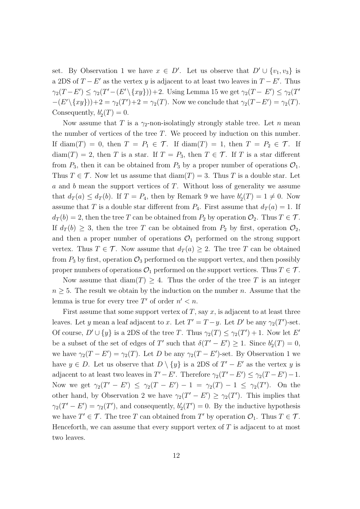set. By Observation 1 we have  $x \in D'$ . Let us observe that  $D' \cup \{v_1, v_3\}$  is a 2DS of  $T - E'$  as the vertex *y* is adjacent to at least two leaves in  $T - E'$ . Thus  $\gamma_2(T-E') \leq \gamma_2(T'-(E'\setminus\{xy\}))+2.$  Using Lemma 15 we get  $\gamma_2(T-E') \leq \gamma_2(T')$  $-(E' \setminus \{xy\}) + 2 = \gamma_2(T') + 2 = \gamma_2(T)$ . Now we conclude that  $\gamma_2(T - E') = \gamma_2(T)$ . Consequently,  $b'_{2}(T) = 0$ .

Now assume that *T* is a *γ*2-non-isolatingly strongly stable tree. Let *n* mean the number of vertices of the tree *T*. We proceed by induction on this number. If diam(*T*) = 0, then  $T = P_1 \in \mathcal{T}$ . If diam(*T*) = 1, then  $T = P_2 \in \mathcal{T}$ . If diam(*T*) = 2, then *T* is a star. If  $T = P_3$ , then  $T \in \mathcal{T}$ . If *T* is a star different from  $P_3$ , then it can be obtained from  $P_3$  by a proper number of operations  $\mathcal{O}_1$ . Thus  $T \in \mathcal{T}$ . Now let us assume that  $\text{diam}(T) = 3$ . Thus *T* is a double star. Let *a* and *b* mean the support vertices of *T*. Without loss of generality we assume that  $d_T(a) \leq d_T(b)$ . If  $T = P_4$ , then by Remark 9 we have  $b'_2(T) = 1 \neq 0$ . Now assume that *T* is a double star different from  $P_4$ . First assume that  $d_T(a) = 1$ . If  $d_T(b) = 2$ , then the tree *T* can be obtained from  $P_2$  by operation  $\mathcal{O}_2$ . Thus  $T \in \mathcal{T}$ . If  $d_T(b) \geq 3$ , then the tree *T* can be obtained from  $P_2$  by first, operation  $\mathcal{O}_2$ , and then a proper number of operations  $\mathcal{O}_1$  performed on the strong support vertex. Thus  $T \in \mathcal{T}$ . Now assume that  $d_T(a) \geq 2$ . The tree *T* can be obtained from  $P_3$  by first, operation  $\mathcal{O}_3$  performed on the support vertex, and then possibly proper numbers of operations  $\mathcal{O}_1$  performed on the support vertices. Thus  $T \in \mathcal{T}$ .

Now assume that  $\text{diam}(T) \geq 4$ . Thus the order of the tree T is an integer  $n \geq 5$ . The result we obtain by the induction on the number *n*. Assume that the lemma is true for every tree  $T'$  of order  $n' < n$ .

First assume that some support vertex of *T*, say *x*, is adjacent to at least three leaves. Let *y* mean a leaf adjacent to *x*. Let  $T' = T - y$ . Let  $D'$  be any  $\gamma_2(T')$ -set. Of course,  $D' \cup \{y\}$  is a 2DS of the tree *T*. Thus  $\gamma_2(T) \leq \gamma_2(T') + 1$ . Now let *E'* be a subset of the set of edges of *T'* such that  $\delta(T' - E') \geq 1$ . Since  $b'_2(T) = 0$ , we have  $\gamma_2(T - E') = \gamma_2(T)$ . Let *D* be any  $\gamma_2(T - E')$ -set. By Observation 1 we have  $y \in D$ . Let us observe that  $D \setminus \{y\}$  is a 2DS of  $T' - E'$  as the vertex  $y$  is adjacent to at least two leaves in  $T' - E'$ . Therefore  $\gamma_2(T' - E') \leq \gamma_2(T - E') - 1$ . Now we get  $\gamma_2(T' - E') \leq \gamma_2(T - E') - 1 = \gamma_2(T) - 1 \leq \gamma_2(T')$ . On the other hand, by Observation 2 we have  $\gamma_2(T'-E') \geq \gamma_2(T')$ . This implies that  $\gamma_2(T'-E') = \gamma_2(T')$ , and consequently,  $b'_2(T') = 0$ . By the inductive hypothesis we have  $T' \in \mathcal{T}$ . The tree *T* can obtained from *T'* by operation  $\mathcal{O}_1$ . Thus  $T \in \mathcal{T}$ . Henceforth, we can assume that every support vertex of *T* is adjacent to at most two leaves.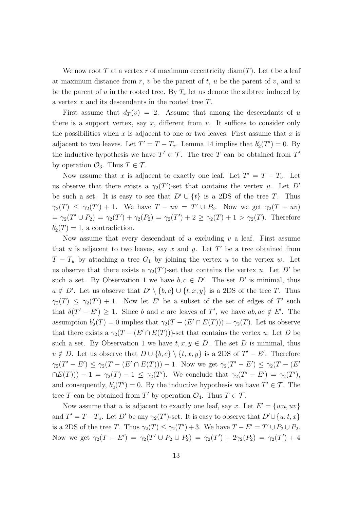We now root  $T$  at a vertex  $r$  of maximum eccentricity diam $(T)$ . Let  $t$  be a leaf at maximum distance from *r*, *v* be the parent of *t*, *u* be the parent of *v*, and *w* be the parent of *u* in the rooted tree. By  $T_x$  let us denote the subtree induced by a vertex *x* and its descendants in the rooted tree *T*.

First assume that  $d_T(v) = 2$ . Assume that among the descendants of *u* there is a support vertex, say  $x$ , different from  $v$ . It suffices to consider only the possibilities when *x* is adjacent to one or two leaves. First assume that *x* is adjacent to two leaves. Let  $T' = T - T_x$ . Lemma 14 implies that  $b'_2(T') = 0$ . By the inductive hypothesis we have  $T' \in \mathcal{T}$ . The tree *T* can be obtained from *T'* by operation  $\mathcal{O}_3$ . Thus  $T \in \mathcal{T}$ .

Now assume that *x* is adjacent to exactly one leaf. Let  $T' = T - T_v$ . Let us observe that there exists a  $\gamma_2(T')$ -set that contains the vertex *u*. Let *D'* be such a set. It is easy to see that  $D' \cup \{t\}$  is a 2DS of the tree *T*. Thus *γ*<sub>2</sub>(*T*)  $\leq \gamma_2(T') + 1$ . We have  $T - uv = T' \cup P_2$ . Now we get  $\gamma_2(T - uv)$  $= \gamma_2(T' \cup P_2) = \gamma_2(T') + \gamma_2(P_2) = \gamma_2(T') + 2 \ge \gamma_2(T) + 1 > \gamma_2(T)$ . Therefore  $b'_{2}(T) = 1$ , a contradiction.

Now assume that every descendant of *u* excluding *v* a leaf. First assume that *u* is adjacent to two leaves, say *x* and *y*. Let  $T'$  be a tree obtained from  $T - T_u$  by attaching a tree  $G_1$  by joining the vertex *u* to the vertex *w*. Let us observe that there exists a  $\gamma_2(T')$ -set that contains the vertex *u*. Let *D'* be such a set. By Observation 1 we have  $b, c \in D'$ . The set  $D'$  is minimal, thus  $a \notin D'$ . Let us observe that  $D' \setminus \{b, c\} \cup \{t, x, y\}$  is a 2DS of the tree *T*. Thus  $\gamma_2(T) \leq \gamma_2(T') + 1$ . Now let *E*' be a subset of the set of edges of *T*' such that  $\delta(T'-E') \geq 1$ . Since *b* and *c* are leaves of *T'*, we have  $ab, ac \notin E'$ . The assumption  $b'_{2}(T) = 0$  implies that  $\gamma_{2}(T - (E' \cap E(T))) = \gamma_{2}(T)$ . Let us observe that there exists a  $\gamma_2(T - (E' \cap E(T)))$ -set that contains the vertex *u*. Let *D* be such a set. By Observation 1 we have  $t, x, y \in D$ . The set *D* is minimal, thus  $v \notin D$ . Let us observe that  $D \cup \{b, c\} \setminus \{t, x, y\}$  is a 2DS of  $T' - E'$ . Therefore  $\gamma_2(T'-E') \leq \gamma_2(T-(E' \cap E(T))) - 1$ . Now we get  $\gamma_2(T'-E') \leq \gamma_2(T-(E' \cap E'))$  $\neg E(T))$ ) *−* 1 = *γ*<sub>2</sub>(*T*) *−* 1 ≤ *γ*<sub>2</sub>(*T'*). We conclude that *γ*<sub>2</sub>(*T' − E'*) = *γ*<sub>2</sub>(*T'*), and consequently,  $b'_{2}(T') = 0$ . By the inductive hypothesis we have  $T' \in \mathcal{T}$ . The tree *T* can be obtained from *T'* by operation  $\mathcal{O}_4$ . Thus  $T \in \mathcal{T}$ .

Now assume that *u* is adjacent to exactly one leaf, say *x*. Let  $E' = \{wu, uv\}$ and  $T' = T - T_u$ . Let  $D'$  be any  $\gamma_2(T')$ -set. It is easy to observe that  $D' \cup \{u, t, x\}$ is a 2DS of the tree *T*. Thus  $\gamma_2(T) \leq \gamma_2(T') + 3$ . We have  $T - E' = T' \cup P_2 \cup P_2$ . Now we get  $\gamma_2(T - E') = \gamma_2(T' \cup P_2 \cup P_2) = \gamma_2(T') + 2\gamma_2(P_2) = \gamma_2(T') + 4$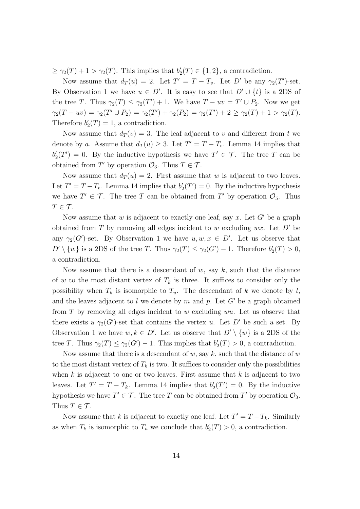$\geq \gamma_2(T) + 1 > \gamma_2(T)$ . This implies that  $b'_2(T) \in \{1, 2\}$ , a contradiction.

Now assume that  $d_T(u) = 2$ . Let  $T' = T - T_v$ . Let  $D'$  be any  $\gamma_2(T')$ -set. By Observation 1 we have  $u \in D'$ . It is easy to see that  $D' \cup \{t\}$  is a 2DS of the tree *T*. Thus  $\gamma_2(T) \leq \gamma_2(T') + 1$ . We have  $T - uv = T' \cup P_2$ . Now we get  $\gamma_2(T - uv) = \gamma_2(T' \cup P_2) = \gamma_2(T') + \gamma_2(P_2) = \gamma_2(T') + 2 \geq \gamma_2(T) + 1 > \gamma_2(T).$ Therefore  $b'_{2}(T) = 1$ , a contradiction.

Now assume that  $d_T(v) = 3$ . The leaf adjacent to *v* and different from *t* we denote by *a*. Assume that  $d_T(u) \geq 3$ . Let  $T' = T - T_v$ . Lemma 14 implies that  $b'_{2}(T') = 0$ . By the inductive hypothesis we have  $T' \in \mathcal{T}$ . The tree *T* can be obtained from  $T'$  by operation  $\mathcal{O}_3$ . Thus  $T \in \mathcal{T}$ .

Now assume that  $d_T(u) = 2$ . First assume that *w* is adjacent to two leaves. Let  $T' = T - T_v$ . Lemma 14 implies that  $b'_2(T') = 0$ . By the inductive hypothesis we have  $T' \in \mathcal{T}$ . The tree *T* can be obtained from *T'* by operation  $\mathcal{O}_5$ . Thus  $T \in \mathcal{T}$ .

Now assume that *w* is adjacent to exactly one leaf, say *x*. Let *G′* be a graph obtained from *T* by removing all edges incident to *w* excluding *wx*. Let *D′* be any  $\gamma_2(G')$ -set. By Observation 1 we have  $u, w, x \in D'$ . Let us observe that  $D' \setminus \{w\}$  is a 2DS of the tree *T*. Thus  $\gamma_2(T) \leq \gamma_2(G') - 1$ . Therefore  $b'_2(T) > 0$ , a contradiction.

Now assume that there is a descendant of *w*, say *k*, such that the distance of *w* to the most distant vertex of  $T_k$  is three. It suffices to consider only the possibility when  $T_k$  is isomorphic to  $T_u$ . The descendant of  $k$  we denote by  $l$ , and the leaves adjacent to *l* we denote by *m* and *p*. Let *G′* be a graph obtained from *T* by removing all edges incident to *w* excluding *wu*. Let us observe that there exists a  $\gamma_2(G')$ -set that contains the vertex *u*. Let *D'* be such a set. By Observation 1 we have  $w, k \in D'$ . Let us observe that  $D' \setminus \{w\}$  is a 2DS of the tree *T*. Thus  $\gamma_2(T) \leq \gamma_2(G') - 1$ . This implies that  $b'_2(T) > 0$ , a contradiction.

Now assume that there is a descendant of w, say k, such that the distance of w to the most distant vertex of  $T_k$  is two. It suffices to consider only the possibilities when *k* is adjacent to one or two leaves. First assume that *k* is adjacent to two leaves. Let  $T' = T - T_k$ . Lemma 14 implies that  $b'_2(T') = 0$ . By the inductive hypothesis we have  $T' \in \mathcal{T}$ . The tree *T* can be obtained from *T'* by operation  $\mathcal{O}_3$ . Thus  $T \in \mathcal{T}$ .

Now assume that *k* is adjacent to exactly one leaf. Let  $T' = T - T_k$ . Similarly as when  $T_k$  is isomorphic to  $T_u$  we conclude that  $b'_2(T) > 0$ , a contradiction.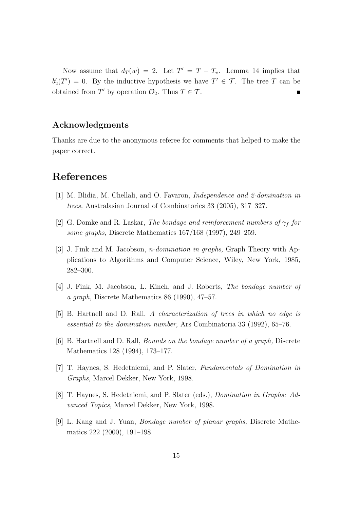Now assume that  $d_T(w) = 2$ . Let  $T' = T - T_v$ . Lemma 14 implies that  $b'_{2}(T') = 0$ . By the inductive hypothesis we have  $T' \in \mathcal{T}$ . The tree *T* can be obtained from  $T'$  by operation  $\mathcal{O}_2$ . Thus  $T \in \mathcal{T}$ . П

#### **Acknowledgments**

Thanks are due to the anonymous referee for comments that helped to make the paper correct.

#### **References**

- [1] M. Blidia, M. Chellali, and O. Favaron, *Independence and 2-domination in trees,* Australasian Journal of Combinatorics 33 (2005), 317–327.
- [2] G. Domke and R. Laskar, *The bondage and reinforcement numbers of*  $\gamma_f$  *for some graphs,* Discrete Mathematics 167/168 (1997), 249–259.
- [3] J. Fink and M. Jacobson, *n-domination in graphs,* Graph Theory with Applications to Algorithms and Computer Science, Wiley, New York, 1985, 282–300.
- [4] J. Fink, M. Jacobson, L. Kinch, and J. Roberts, *The bondage number of a graph,* Discrete Mathematics 86 (1990), 47–57.
- [5] B. Hartnell and D. Rall, *A characterization of trees in which no edge is essential to the domination number,* Ars Combinatoria 33 (1992), 65–76.
- [6] B. Hartnell and D. Rall, *Bounds on the bondage number of a graph,* Discrete Mathematics 128 (1994), 173–177.
- [7] T. Haynes, S. Hedetniemi, and P. Slater, *Fundamentals of Domination in Graphs,* Marcel Dekker, New York, 1998.
- [8] T. Haynes, S. Hedetniemi, and P. Slater (eds.), *Domination in Graphs: Advanced Topics,* Marcel Dekker, New York, 1998.
- [9] L. Kang and J. Yuan, *Bondage number of planar graphs,* Discrete Mathematics 222 (2000), 191–198.